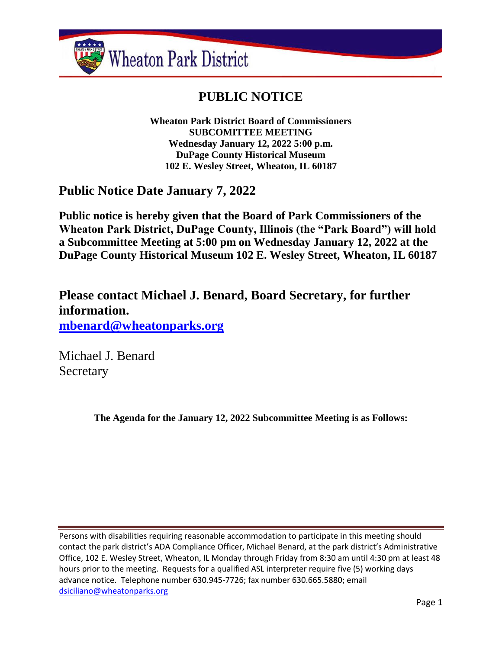

# **PUBLIC NOTICE**

**Wheaton Park District Board of Commissioners SUBCOMITTEE MEETING Wednesday January 12, 2022 5:00 p.m. DuPage County Historical Museum 102 E. Wesley Street, Wheaton, IL 60187**

## **Public Notice Date January 7, 2022**

**Public notice is hereby given that the Board of Park Commissioners of the Wheaton Park District, DuPage County, Illinois (the "Park Board") will hold a Subcommittee Meeting at 5:00 pm on Wednesday January 12, 2022 at the DuPage County Historical Museum 102 E. Wesley Street, Wheaton, IL 60187**

**Please contact Michael J. Benard, Board Secretary, for further information. [mbenard@wheatonparks.org](mailto:mbenard@wheatonparks.org)**

Michael J. Benard Secretary

**The Agenda for the January 12, 2022 Subcommittee Meeting is as Follows:**

Persons with disabilities requiring reasonable accommodation to participate in this meeting should contact the park district's ADA Compliance Officer, Michael Benard, at the park district's Administrative Office, 102 E. Wesley Street, Wheaton, IL Monday through Friday from 8:30 am until 4:30 pm at least 48 hours prior to the meeting. Requests for a qualified ASL interpreter require five (5) working days advance notice. Telephone number 630.945-7726; fax number 630.665.5880; email [dsiciliano@wheatonparks.org](mailto:dsiciliano@wheatonparks.org)